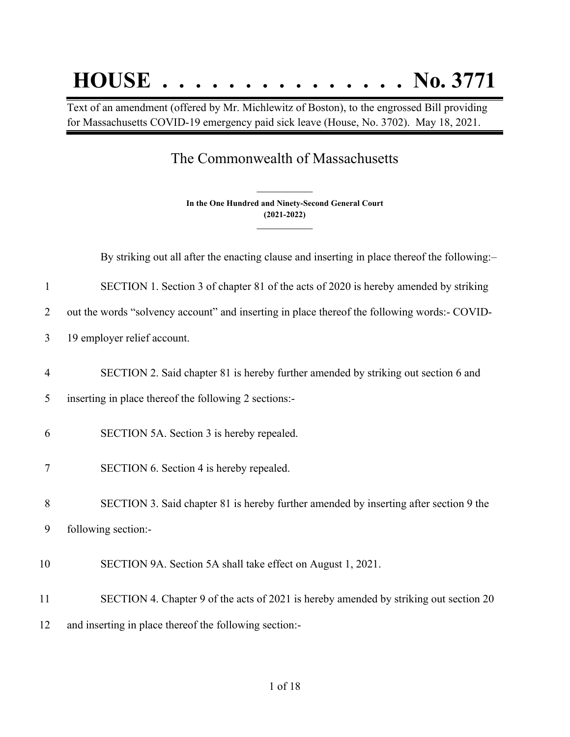## **HOUSE . . . . . . . . . . . . . . . No. 3771**

Text of an amendment (offered by Mr. Michlewitz of Boston), to the engrossed Bill providing for Massachusetts COVID-19 emergency paid sick leave (House, No. 3702). May 18, 2021.

## The Commonwealth of Massachusetts

**In the One Hundred and Ninety-Second General Court (2021-2022) \_\_\_\_\_\_\_\_\_\_\_\_\_\_\_**

**\_\_\_\_\_\_\_\_\_\_\_\_\_\_\_**

By striking out all after the enacting clause and inserting in place thereof the following:-

1 SECTION 1. Section 3 of chapter 81 of the acts of 2020 is hereby amended by striking

2 out the words "solvency account" and inserting in place thereof the following words:- COVID-

- 3 19 employer relief account.
- 4 SECTION 2. Said chapter 81 is hereby further amended by striking out section 6 and
- 5 inserting in place thereof the following 2 sections:-
- 6 SECTION 5A. Section 3 is hereby repealed.
- 7 SECTION 6. Section 4 is hereby repealed.

8 SECTION 3. Said chapter 81 is hereby further amended by inserting after section 9 the 9 following section:-

- 10 SECTION 9A. Section 5A shall take effect on August 1, 2021.
- 11 SECTION 4. Chapter 9 of the acts of 2021 is hereby amended by striking out section 20 12 and inserting in place thereof the following section:-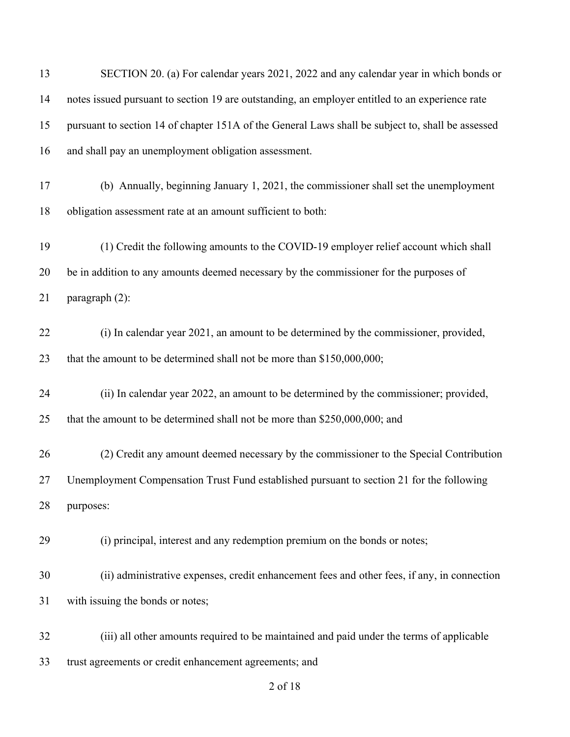| 13 | SECTION 20. (a) For calendar years 2021, 2022 and any calendar year in which bonds or             |
|----|---------------------------------------------------------------------------------------------------|
| 14 | notes issued pursuant to section 19 are outstanding, an employer entitled to an experience rate   |
| 15 | pursuant to section 14 of chapter 151A of the General Laws shall be subject to, shall be assessed |
| 16 | and shall pay an unemployment obligation assessment.                                              |
| 17 | (b) Annually, beginning January 1, 2021, the commissioner shall set the unemployment              |
| 18 | obligation assessment rate at an amount sufficient to both:                                       |
| 19 | (1) Credit the following amounts to the COVID-19 employer relief account which shall              |
| 20 | be in addition to any amounts deemed necessary by the commissioner for the purposes of            |
| 21 | paragraph (2):                                                                                    |
| 22 | (i) In calendar year 2021, an amount to be determined by the commissioner, provided,              |
| 23 | that the amount to be determined shall not be more than \$150,000,000;                            |
| 24 | (ii) In calendar year 2022, an amount to be determined by the commissioner; provided,             |
| 25 | that the amount to be determined shall not be more than \$250,000,000; and                        |
| 26 | (2) Credit any amount deemed necessary by the commissioner to the Special Contribution            |
| 27 | Unemployment Compensation Trust Fund established pursuant to section 21 for the following         |
| 28 | purposes:                                                                                         |
| 29 | (i) principal, interest and any redemption premium on the bonds or notes;                         |
| 30 | (ii) administrative expenses, credit enhancement fees and other fees, if any, in connection       |
| 31 | with issuing the bonds or notes;                                                                  |
| 32 | (iii) all other amounts required to be maintained and paid under the terms of applicable          |
| 33 | trust agreements or credit enhancement agreements; and                                            |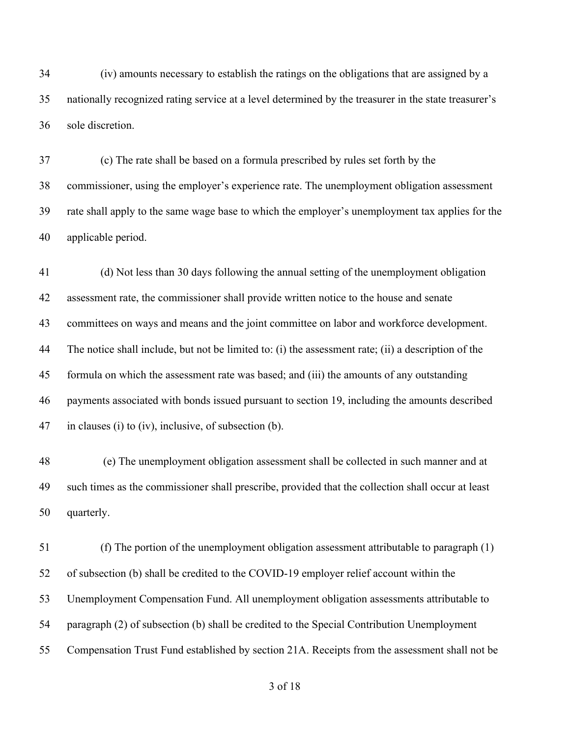(iv) amounts necessary to establish the ratings on the obligations that are assigned by a nationally recognized rating service at a level determined by the treasurer in the state treasurer's sole discretion.

 (c) The rate shall be based on a formula prescribed by rules set forth by the commissioner, using the employer's experience rate. The unemployment obligation assessment rate shall apply to the same wage base to which the employer's unemployment tax applies for the applicable period.

 (d) Not less than 30 days following the annual setting of the unemployment obligation assessment rate, the commissioner shall provide written notice to the house and senate committees on ways and means and the joint committee on labor and workforce development. The notice shall include, but not be limited to: (i) the assessment rate; (ii) a description of the formula on which the assessment rate was based; and (iii) the amounts of any outstanding payments associated with bonds issued pursuant to section 19, including the amounts described in clauses (i) to (iv), inclusive, of subsection (b).

 (e) The unemployment obligation assessment shall be collected in such manner and at such times as the commissioner shall prescribe, provided that the collection shall occur at least quarterly.

 (f) The portion of the unemployment obligation assessment attributable to paragraph (1) of subsection (b) shall be credited to the COVID-19 employer relief account within the Unemployment Compensation Fund. All unemployment obligation assessments attributable to paragraph (2) of subsection (b) shall be credited to the Special Contribution Unemployment Compensation Trust Fund established by section 21A. Receipts from the assessment shall not be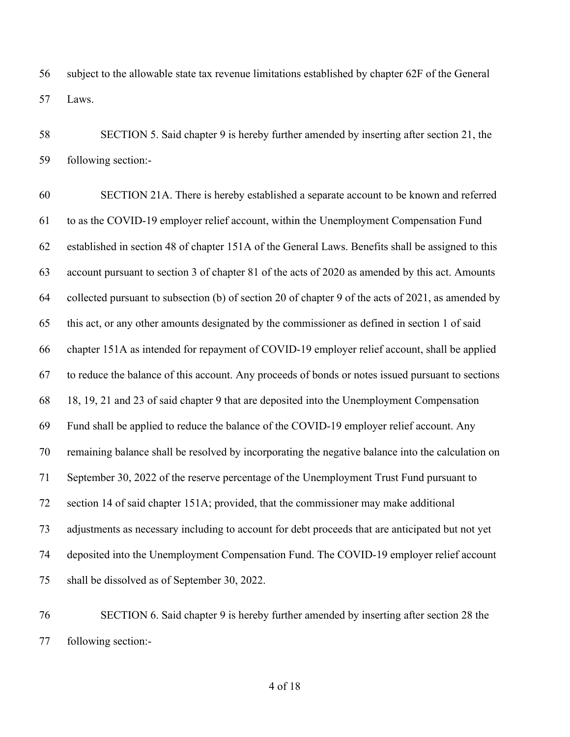subject to the allowable state tax revenue limitations established by chapter 62F of the General Laws.

 SECTION 5. Said chapter 9 is hereby further amended by inserting after section 21, the following section:-

 SECTION 21A. There is hereby established a separate account to be known and referred to as the COVID-19 employer relief account, within the Unemployment Compensation Fund established in section 48 of chapter 151A of the General Laws. Benefits shall be assigned to this account pursuant to section 3 of chapter 81 of the acts of 2020 as amended by this act. Amounts collected pursuant to subsection (b) of section 20 of chapter 9 of the acts of 2021, as amended by this act, or any other amounts designated by the commissioner as defined in section 1 of said chapter 151A as intended for repayment of COVID-19 employer relief account, shall be applied to reduce the balance of this account. Any proceeds of bonds or notes issued pursuant to sections 18, 19, 21 and 23 of said chapter 9 that are deposited into the Unemployment Compensation Fund shall be applied to reduce the balance of the COVID-19 employer relief account. Any remaining balance shall be resolved by incorporating the negative balance into the calculation on September 30, 2022 of the reserve percentage of the Unemployment Trust Fund pursuant to section 14 of said chapter 151A; provided, that the commissioner may make additional adjustments as necessary including to account for debt proceeds that are anticipated but not yet deposited into the Unemployment Compensation Fund. The COVID-19 employer relief account shall be dissolved as of September 30, 2022.

 SECTION 6. Said chapter 9 is hereby further amended by inserting after section 28 the following section:-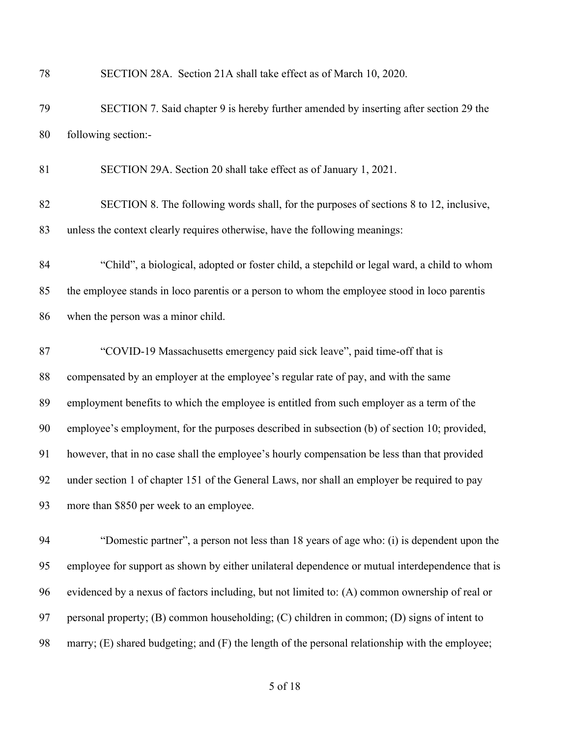| 78 | SECTION 28A. Section 21A shall take effect as of March 10, 2020.                                |
|----|-------------------------------------------------------------------------------------------------|
| 79 | SECTION 7. Said chapter 9 is hereby further amended by inserting after section 29 the           |
| 80 | following section:-                                                                             |
| 81 | SECTION 29A. Section 20 shall take effect as of January 1, 2021.                                |
| 82 | SECTION 8. The following words shall, for the purposes of sections 8 to 12, inclusive,          |
| 83 | unless the context clearly requires otherwise, have the following meanings:                     |
| 84 | "Child", a biological, adopted or foster child, a stepchild or legal ward, a child to whom      |
| 85 | the employee stands in loco parentis or a person to whom the employee stood in loco parentis    |
| 86 | when the person was a minor child.                                                              |
| 87 | "COVID-19 Massachusetts emergency paid sick leave", paid time-off that is                       |
| 88 | compensated by an employer at the employee's regular rate of pay, and with the same             |
| 89 | employment benefits to which the employee is entitled from such employer as a term of the       |
| 90 | employee's employment, for the purposes described in subsection (b) of section 10; provided,    |
| 91 | however, that in no case shall the employee's hourly compensation be less than that provided    |
| 92 | under section 1 of chapter 151 of the General Laws, nor shall an employer be required to pay    |
| 93 | more than \$850 per week to an employee.                                                        |
| 94 | "Domestic partner", a person not less than 18 years of age who: (i) is dependent upon the       |
| 95 | employee for support as shown by either unilateral dependence or mutual interdependence that is |
| 96 | evidenced by a nexus of factors including, but not limited to: (A) common ownership of real or  |
| 97 | personal property; (B) common householding; (C) children in common; (D) signs of intent to      |

marry; (E) shared budgeting; and (F) the length of the personal relationship with the employee;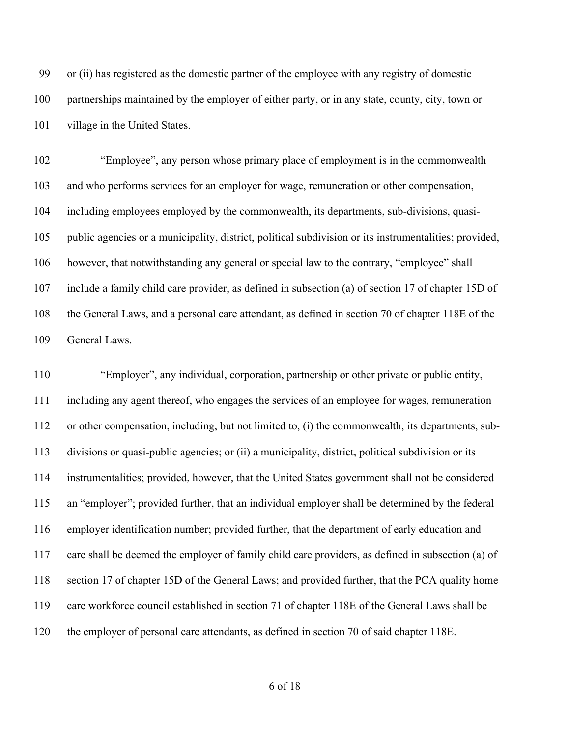or (ii) has registered as the domestic partner of the employee with any registry of domestic partnerships maintained by the employer of either party, or in any state, county, city, town or village in the United States.

 "Employee", any person whose primary place of employment is in the commonwealth and who performs services for an employer for wage, remuneration or other compensation, including employees employed by the commonwealth, its departments, sub-divisions, quasi- public agencies or a municipality, district, political subdivision or its instrumentalities; provided, however, that notwithstanding any general or special law to the contrary, "employee" shall include a family child care provider, as defined in subsection (a) of section 17 of chapter 15D of the General Laws, and a personal care attendant, as defined in section 70 of chapter 118E of the General Laws.

 "Employer", any individual, corporation, partnership or other private or public entity, including any agent thereof, who engages the services of an employee for wages, remuneration or other compensation, including, but not limited to, (i) the commonwealth, its departments, sub- divisions or quasi-public agencies; or (ii) a municipality, district, political subdivision or its instrumentalities; provided, however, that the United States government shall not be considered an "employer"; provided further, that an individual employer shall be determined by the federal employer identification number; provided further, that the department of early education and care shall be deemed the employer of family child care providers, as defined in subsection (a) of section 17 of chapter 15D of the General Laws; and provided further, that the PCA quality home care workforce council established in section 71 of chapter 118E of the General Laws shall be the employer of personal care attendants, as defined in section 70 of said chapter 118E.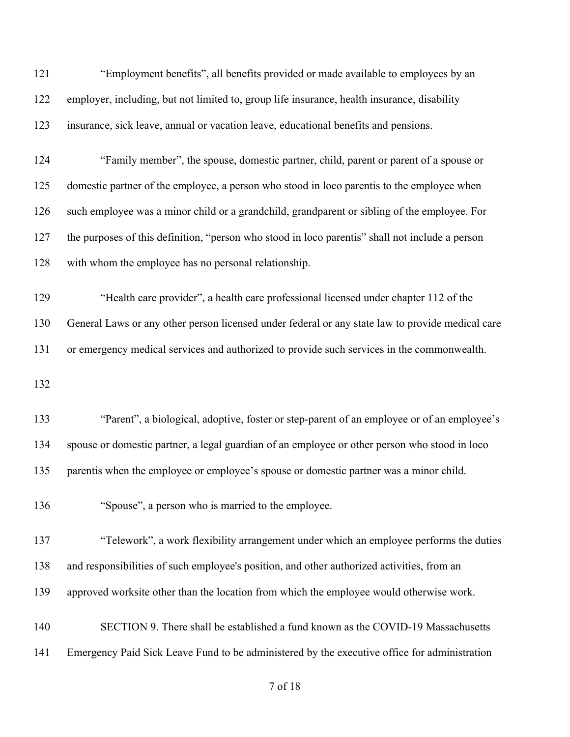| 121 | "Employment benefits", all benefits provided or made available to employees by an                |
|-----|--------------------------------------------------------------------------------------------------|
| 122 | employer, including, but not limited to, group life insurance, health insurance, disability      |
| 123 | insurance, sick leave, annual or vacation leave, educational benefits and pensions.              |
| 124 | "Family member", the spouse, domestic partner, child, parent or parent of a spouse or            |
| 125 | domestic partner of the employee, a person who stood in loco parentis to the employee when       |
| 126 | such employee was a minor child or a grandchild, grandparent or sibling of the employee. For     |
| 127 | the purposes of this definition, "person who stood in loco parentis" shall not include a person  |
| 128 | with whom the employee has no personal relationship.                                             |
| 129 | "Health care provider", a health care professional licensed under chapter 112 of the             |
| 130 | General Laws or any other person licensed under federal or any state law to provide medical care |
| 131 | or emergency medical services and authorized to provide such services in the commonwealth.       |
| 132 |                                                                                                  |
| 133 | "Parent", a biological, adoptive, foster or step-parent of an employee or of an employee's       |
| 134 | spouse or domestic partner, a legal guardian of an employee or other person who stood in loco    |
| 135 | parentis when the employee or employee's spouse or domestic partner was a minor child.           |
| 136 | "Spouse", a person who is married to the employee.                                               |
| 137 | "Telework", a work flexibility arrangement under which an employee performs the duties           |
| 138 | and responsibilities of such employee's position, and other authorized activities, from an       |
| 139 | approved worksite other than the location from which the employee would otherwise work.          |
| 140 | SECTION 9. There shall be established a fund known as the COVID-19 Massachusetts                 |
| 141 | Emergency Paid Sick Leave Fund to be administered by the executive office for administration     |
|     |                                                                                                  |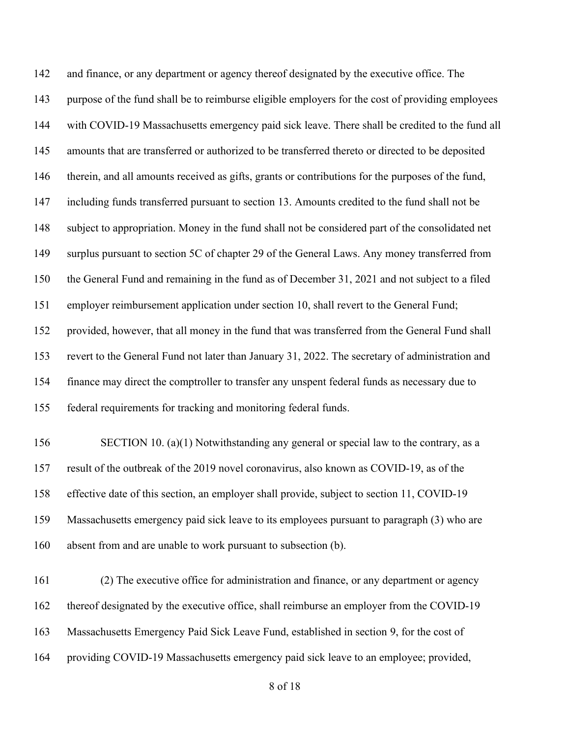and finance, or any department or agency thereof designated by the executive office. The purpose of the fund shall be to reimburse eligible employers for the cost of providing employees with COVID-19 Massachusetts emergency paid sick leave. There shall be credited to the fund all amounts that are transferred or authorized to be transferred thereto or directed to be deposited therein, and all amounts received as gifts, grants or contributions for the purposes of the fund, including funds transferred pursuant to section 13. Amounts credited to the fund shall not be subject to appropriation. Money in the fund shall not be considered part of the consolidated net surplus pursuant to section 5C of chapter 29 of the General Laws. Any money transferred from the General Fund and remaining in the fund as of December 31, 2021 and not subject to a filed employer reimbursement application under section 10, shall revert to the General Fund; provided, however, that all money in the fund that was transferred from the General Fund shall revert to the General Fund not later than January 31, 2022. The secretary of administration and finance may direct the comptroller to transfer any unspent federal funds as necessary due to federal requirements for tracking and monitoring federal funds. 156 SECTION 10. (a)(1) Notwithstanding any general or special law to the contrary, as a result of the outbreak of the 2019 novel coronavirus, also known as COVID-19, as of the effective date of this section, an employer shall provide, subject to section 11, COVID-19 Massachusetts emergency paid sick leave to its employees pursuant to paragraph (3) who are

- absent from and are unable to work pursuant to subsection (b).
- (2) The executive office for administration and finance, or any department or agency thereof designated by the executive office, shall reimburse an employer from the COVID-19 Massachusetts Emergency Paid Sick Leave Fund, established in section 9, for the cost of providing COVID-19 Massachusetts emergency paid sick leave to an employee; provided,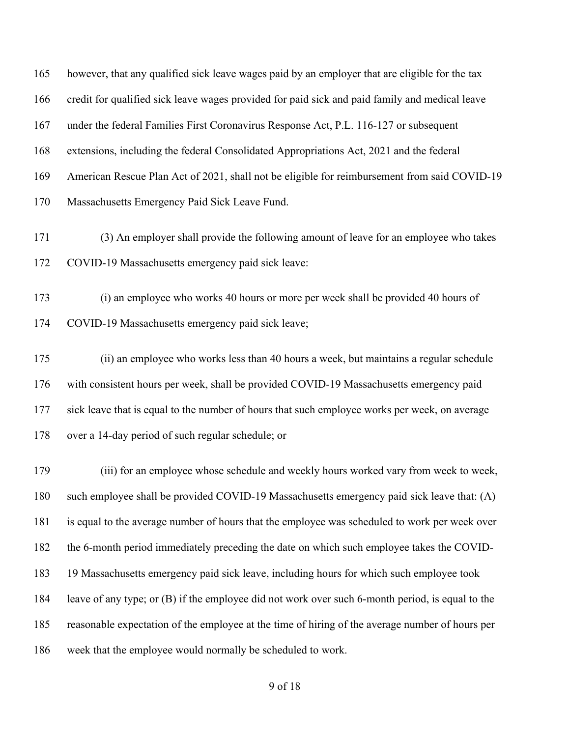however, that any qualified sick leave wages paid by an employer that are eligible for the tax credit for qualified sick leave wages provided for paid sick and paid family and medical leave under the federal Families First Coronavirus Response Act, P.L. 116-127 or subsequent extensions, including the federal Consolidated Appropriations Act, 2021 and the federal American Rescue Plan Act of 2021, shall not be eligible for reimbursement from said COVID-19 Massachusetts Emergency Paid Sick Leave Fund.

- (3) An employer shall provide the following amount of leave for an employee who takes COVID-19 Massachusetts emergency paid sick leave:
- (i) an employee who works 40 hours or more per week shall be provided 40 hours of COVID-19 Massachusetts emergency paid sick leave;
- (ii) an employee who works less than 40 hours a week, but maintains a regular schedule with consistent hours per week, shall be provided COVID-19 Massachusetts emergency paid sick leave that is equal to the number of hours that such employee works per week, on average over a 14-day period of such regular schedule; or

 (iii) for an employee whose schedule and weekly hours worked vary from week to week, such employee shall be provided COVID-19 Massachusetts emergency paid sick leave that: (A) is equal to the average number of hours that the employee was scheduled to work per week over the 6-month period immediately preceding the date on which such employee takes the COVID- 19 Massachusetts emergency paid sick leave, including hours for which such employee took leave of any type; or (B) if the employee did not work over such 6-month period, is equal to the reasonable expectation of the employee at the time of hiring of the average number of hours per week that the employee would normally be scheduled to work.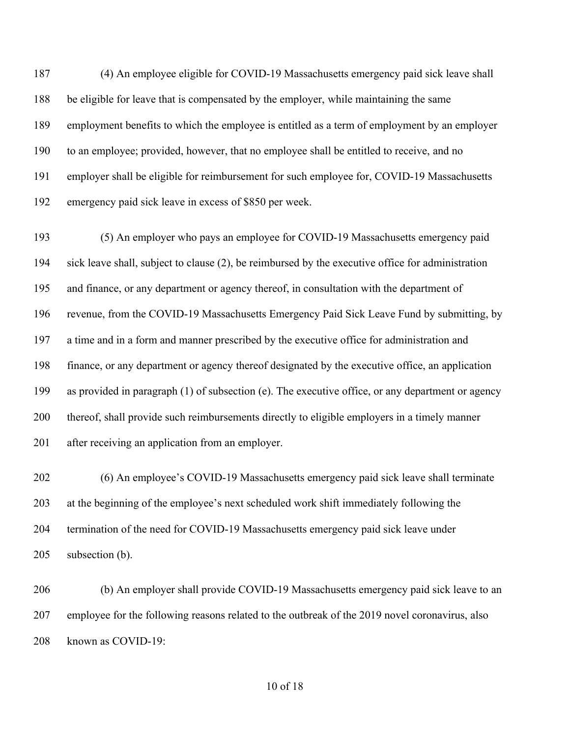(4) An employee eligible for COVID-19 Massachusetts emergency paid sick leave shall be eligible for leave that is compensated by the employer, while maintaining the same employment benefits to which the employee is entitled as a term of employment by an employer to an employee; provided, however, that no employee shall be entitled to receive, and no employer shall be eligible for reimbursement for such employee for, COVID-19 Massachusetts emergency paid sick leave in excess of \$850 per week.

 (5) An employer who pays an employee for COVID-19 Massachusetts emergency paid sick leave shall, subject to clause (2), be reimbursed by the executive office for administration and finance, or any department or agency thereof, in consultation with the department of revenue, from the COVID-19 Massachusetts Emergency Paid Sick Leave Fund by submitting, by a time and in a form and manner prescribed by the executive office for administration and finance, or any department or agency thereof designated by the executive office, an application as provided in paragraph (1) of subsection (e). The executive office, or any department or agency thereof, shall provide such reimbursements directly to eligible employers in a timely manner after receiving an application from an employer.

 (6) An employee's COVID-19 Massachusetts emergency paid sick leave shall terminate at the beginning of the employee's next scheduled work shift immediately following the termination of the need for COVID-19 Massachusetts emergency paid sick leave under subsection (b).

 (b) An employer shall provide COVID-19 Massachusetts emergency paid sick leave to an employee for the following reasons related to the outbreak of the 2019 novel coronavirus, also known as COVID-19: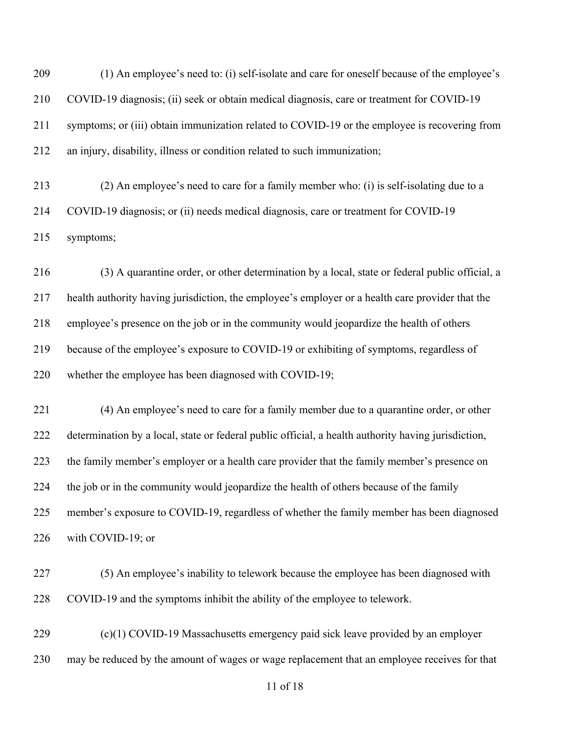(1) An employee's need to: (i) self-isolate and care for oneself because of the employee's COVID-19 diagnosis; (ii) seek or obtain medical diagnosis, care or treatment for COVID-19 symptoms; or (iii) obtain immunization related to COVID-19 or the employee is recovering from an injury, disability, illness or condition related to such immunization;

 (2) An employee's need to care for a family member who: (i) is self-isolating due to a COVID-19 diagnosis; or (ii) needs medical diagnosis, care or treatment for COVID-19 symptoms;

 (3) A quarantine order, or other determination by a local, state or federal public official, a health authority having jurisdiction, the employee's employer or a health care provider that the employee's presence on the job or in the community would jeopardize the health of others because of the employee's exposure to COVID-19 or exhibiting of symptoms, regardless of 220 whether the employee has been diagnosed with COVID-19;

 (4) An employee's need to care for a family member due to a quarantine order, or other determination by a local, state or federal public official, a health authority having jurisdiction, the family member's employer or a health care provider that the family member's presence on the job or in the community would jeopardize the health of others because of the family member's exposure to COVID-19, regardless of whether the family member has been diagnosed with COVID-19; or

 (5) An employee's inability to telework because the employee has been diagnosed with COVID-19 and the symptoms inhibit the ability of the employee to telework.

 (c)(1) COVID-19 Massachusetts emergency paid sick leave provided by an employer may be reduced by the amount of wages or wage replacement that an employee receives for that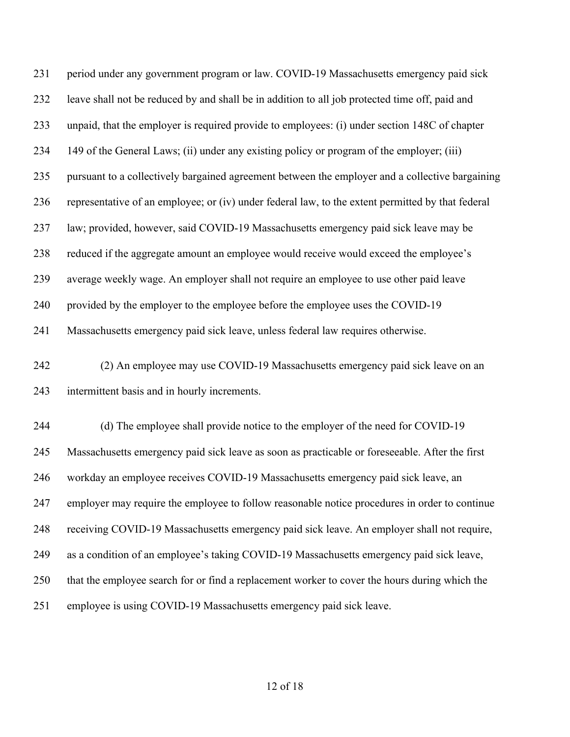| 231 | period under any government program or law. COVID-19 Massachusetts emergency paid sick            |
|-----|---------------------------------------------------------------------------------------------------|
| 232 | leave shall not be reduced by and shall be in addition to all job protected time off, paid and    |
| 233 | unpaid, that the employer is required provide to employees: (i) under section 148C of chapter     |
| 234 | 149 of the General Laws; (ii) under any existing policy or program of the employer; (iii)         |
| 235 | pursuant to a collectively bargained agreement between the employer and a collective bargaining   |
| 236 | representative of an employee; or (iv) under federal law, to the extent permitted by that federal |
| 237 | law; provided, however, said COVID-19 Massachusetts emergency paid sick leave may be              |
| 238 | reduced if the aggregate amount an employee would receive would exceed the employee's             |
| 239 | average weekly wage. An employer shall not require an employee to use other paid leave            |
| 240 | provided by the employer to the employee before the employee uses the COVID-19                    |
| 241 | Massachusetts emergency paid sick leave, unless federal law requires otherwise.                   |
| 242 | (2) An employee may use COVID-19 Massachusetts emergency paid sick leave on an                    |
| 243 | intermittent basis and in hourly increments.                                                      |
| 244 | (d) The employee shall provide notice to the employer of the need for COVID-19                    |
| 245 | Massachusetts emergency paid sick leave as soon as practicable or foreseeable. After the first    |
| 246 | workday an employee receives COVID-19 Massachusetts emergency paid sick leave, an                 |
| 247 | employer may require the employee to follow reasonable notice procedures in order to continue     |
| 248 | receiving COVID-19 Massachusetts emergency paid sick leave. An employer shall not require,        |
| 249 | as a condition of an employee's taking COVID-19 Massachusetts emergency paid sick leave,          |
| 250 | that the employee search for or find a replacement worker to cover the hours during which the     |
| 251 | employee is using COVID-19 Massachusetts emergency paid sick leave.                               |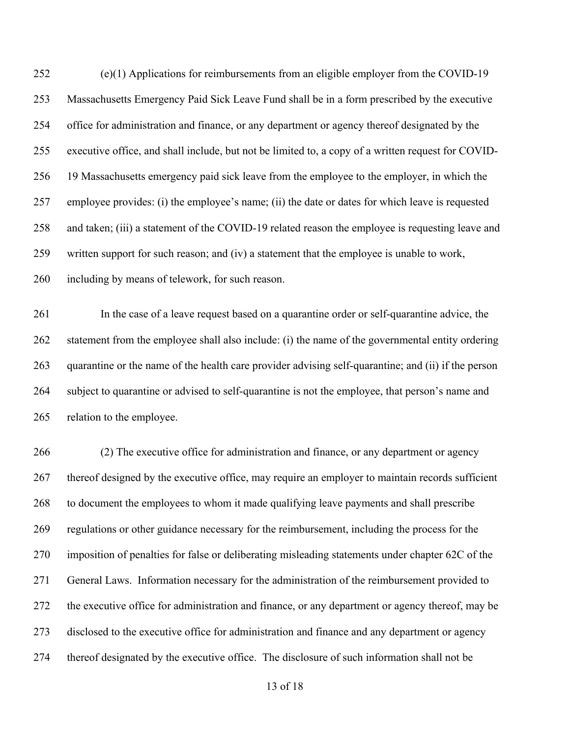(e)(1) Applications for reimbursements from an eligible employer from the COVID-19 Massachusetts Emergency Paid Sick Leave Fund shall be in a form prescribed by the executive office for administration and finance, or any department or agency thereof designated by the executive office, and shall include, but not be limited to, a copy of a written request for COVID- 19 Massachusetts emergency paid sick leave from the employee to the employer, in which the employee provides: (i) the employee's name; (ii) the date or dates for which leave is requested and taken; (iii) a statement of the COVID-19 related reason the employee is requesting leave and written support for such reason; and (iv) a statement that the employee is unable to work, including by means of telework, for such reason.

 In the case of a leave request based on a quarantine order or self-quarantine advice, the statement from the employee shall also include: (i) the name of the governmental entity ordering quarantine or the name of the health care provider advising self-quarantine; and (ii) if the person subject to quarantine or advised to self-quarantine is not the employee, that person's name and relation to the employee.

 (2) The executive office for administration and finance, or any department or agency 267 thereof designed by the executive office, may require an employer to maintain records sufficient to document the employees to whom it made qualifying leave payments and shall prescribe regulations or other guidance necessary for the reimbursement, including the process for the imposition of penalties for false or deliberating misleading statements under chapter 62C of the General Laws. Information necessary for the administration of the reimbursement provided to the executive office for administration and finance, or any department or agency thereof, may be disclosed to the executive office for administration and finance and any department or agency thereof designated by the executive office. The disclosure of such information shall not be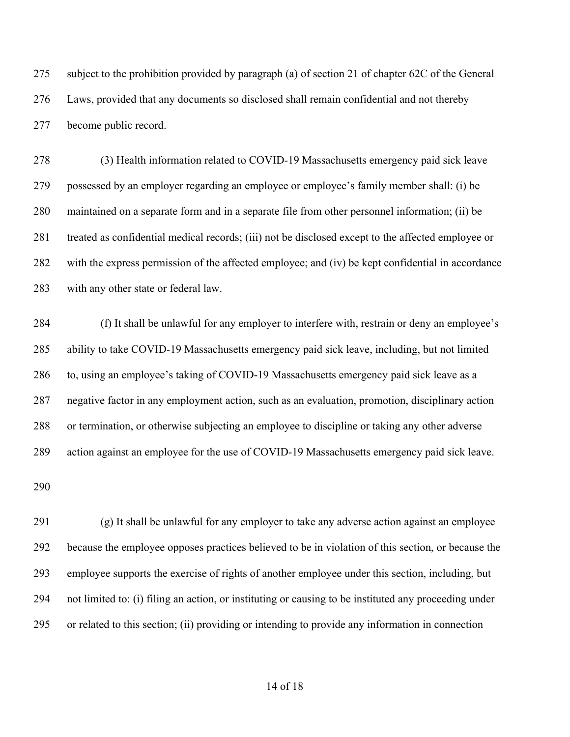subject to the prohibition provided by paragraph (a) of section 21 of chapter 62C of the General Laws, provided that any documents so disclosed shall remain confidential and not thereby become public record.

 (3) Health information related to COVID-19 Massachusetts emergency paid sick leave possessed by an employer regarding an employee or employee's family member shall: (i) be maintained on a separate form and in a separate file from other personnel information; (ii) be treated as confidential medical records; (iii) not be disclosed except to the affected employee or with the express permission of the affected employee; and (iv) be kept confidential in accordance with any other state or federal law.

 (f) It shall be unlawful for any employer to interfere with, restrain or deny an employee's ability to take COVID-19 Massachusetts emergency paid sick leave, including, but not limited to, using an employee's taking of COVID-19 Massachusetts emergency paid sick leave as a negative factor in any employment action, such as an evaluation, promotion, disciplinary action or termination, or otherwise subjecting an employee to discipline or taking any other adverse action against an employee for the use of COVID-19 Massachusetts emergency paid sick leave.

 (g) It shall be unlawful for any employer to take any adverse action against an employee because the employee opposes practices believed to be in violation of this section, or because the employee supports the exercise of rights of another employee under this section, including, but not limited to: (i) filing an action, or instituting or causing to be instituted any proceeding under or related to this section; (ii) providing or intending to provide any information in connection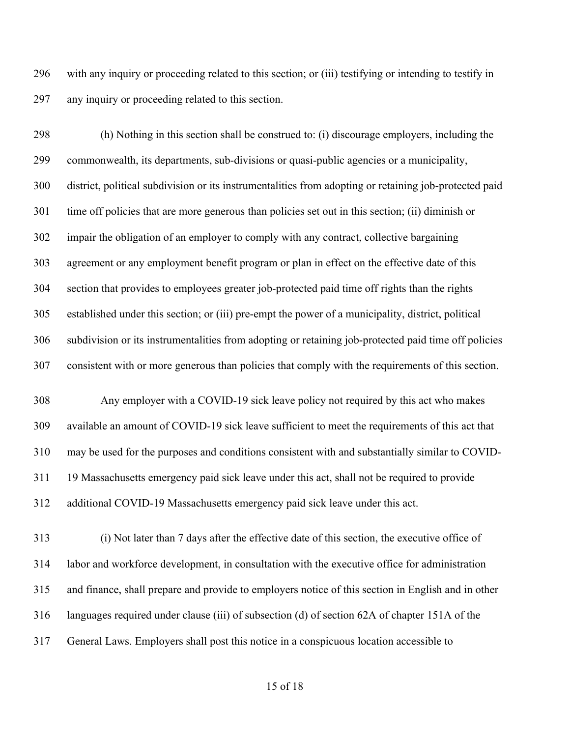with any inquiry or proceeding related to this section; or (iii) testifying or intending to testify in any inquiry or proceeding related to this section.

 (h) Nothing in this section shall be construed to: (i) discourage employers, including the commonwealth, its departments, sub-divisions or quasi-public agencies or a municipality, district, political subdivision or its instrumentalities from adopting or retaining job-protected paid time off policies that are more generous than policies set out in this section; (ii) diminish or impair the obligation of an employer to comply with any contract, collective bargaining agreement or any employment benefit program or plan in effect on the effective date of this section that provides to employees greater job-protected paid time off rights than the rights established under this section; or (iii) pre-empt the power of a municipality, district, political subdivision or its instrumentalities from adopting or retaining job-protected paid time off policies consistent with or more generous than policies that comply with the requirements of this section.

 Any employer with a COVID-19 sick leave policy not required by this act who makes available an amount of COVID-19 sick leave sufficient to meet the requirements of this act that may be used for the purposes and conditions consistent with and substantially similar to COVID- 19 Massachusetts emergency paid sick leave under this act, shall not be required to provide additional COVID-19 Massachusetts emergency paid sick leave under this act.

 (i) Not later than 7 days after the effective date of this section, the executive office of labor and workforce development, in consultation with the executive office for administration and finance, shall prepare and provide to employers notice of this section in English and in other languages required under clause (iii) of subsection (d) of section 62A of chapter 151A of the General Laws. Employers shall post this notice in a conspicuous location accessible to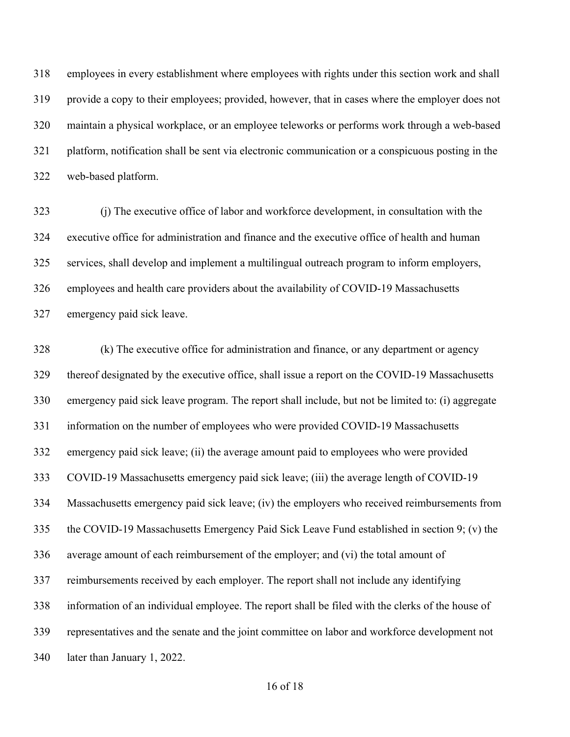employees in every establishment where employees with rights under this section work and shall provide a copy to their employees; provided, however, that in cases where the employer does not maintain a physical workplace, or an employee teleworks or performs work through a web-based platform, notification shall be sent via electronic communication or a conspicuous posting in the web-based platform.

 (j) The executive office of labor and workforce development, in consultation with the executive office for administration and finance and the executive office of health and human services, shall develop and implement a multilingual outreach program to inform employers, employees and health care providers about the availability of COVID-19 Massachusetts emergency paid sick leave.

 (k) The executive office for administration and finance, or any department or agency thereof designated by the executive office, shall issue a report on the COVID-19 Massachusetts emergency paid sick leave program. The report shall include, but not be limited to: (i) aggregate information on the number of employees who were provided COVID-19 Massachusetts emergency paid sick leave; (ii) the average amount paid to employees who were provided COVID-19 Massachusetts emergency paid sick leave; (iii) the average length of COVID-19 Massachusetts emergency paid sick leave; (iv) the employers who received reimbursements from the COVID-19 Massachusetts Emergency Paid Sick Leave Fund established in section 9; (v) the average amount of each reimbursement of the employer; and (vi) the total amount of reimbursements received by each employer. The report shall not include any identifying information of an individual employee. The report shall be filed with the clerks of the house of representatives and the senate and the joint committee on labor and workforce development not later than January 1, 2022.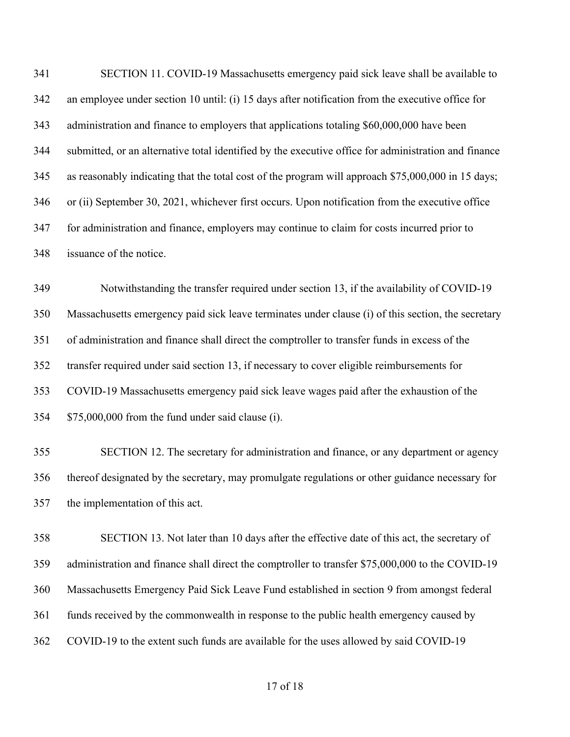SECTION 11. COVID-19 Massachusetts emergency paid sick leave shall be available to an employee under section 10 until: (i) 15 days after notification from the executive office for administration and finance to employers that applications totaling \$60,000,000 have been submitted, or an alternative total identified by the executive office for administration and finance as reasonably indicating that the total cost of the program will approach \$75,000,000 in 15 days; or (ii) September 30, 2021, whichever first occurs. Upon notification from the executive office for administration and finance, employers may continue to claim for costs incurred prior to issuance of the notice.

 Notwithstanding the transfer required under section 13, if the availability of COVID-19 Massachusetts emergency paid sick leave terminates under clause (i) of this section, the secretary of administration and finance shall direct the comptroller to transfer funds in excess of the transfer required under said section 13, if necessary to cover eligible reimbursements for COVID-19 Massachusetts emergency paid sick leave wages paid after the exhaustion of the \$75,000,000 from the fund under said clause (i).

 SECTION 12. The secretary for administration and finance, or any department or agency thereof designated by the secretary, may promulgate regulations or other guidance necessary for the implementation of this act.

 SECTION 13. Not later than 10 days after the effective date of this act, the secretary of administration and finance shall direct the comptroller to transfer \$75,000,000 to the COVID-19 Massachusetts Emergency Paid Sick Leave Fund established in section 9 from amongst federal funds received by the commonwealth in response to the public health emergency caused by COVID-19 to the extent such funds are available for the uses allowed by said COVID-19